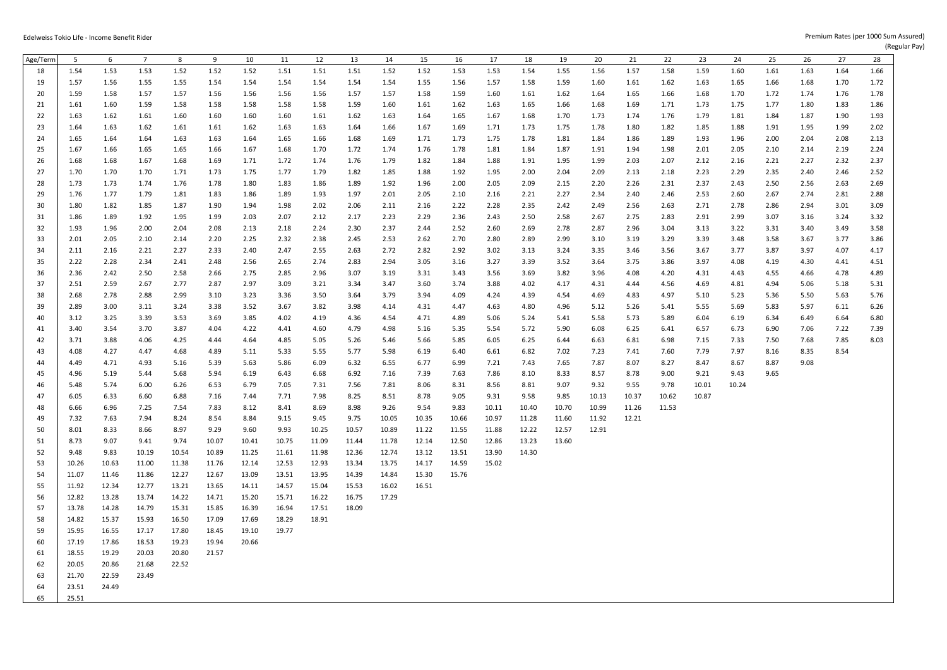| (Regular Pay) |  |
|---------------|--|
|---------------|--|

| Age/Term | - 5   | 6            | 7            | 8            | 9            | 10    | 11           | 12           | 13           | 14           | 15           | 16           | 17           | 18           | 19    | 20           | 21           | 22           | 23           | 24           | 25           | 26   | 27           | 28           |
|----------|-------|--------------|--------------|--------------|--------------|-------|--------------|--------------|--------------|--------------|--------------|--------------|--------------|--------------|-------|--------------|--------------|--------------|--------------|--------------|--------------|------|--------------|--------------|
| 18       | 1.54  | 1.53         | 1.53         | 1.52         | 1.52         | 1.52  | 1.51         | 1.51         | 1.51         | 1.52         | 1.52         | 1.53         | 1.53         | 1.54         | 1.55  | 1.56         | 1.57         | 1.58         | 1.59         | 1.60         | 1.61         | 1.63 | 1.64         | 1.66         |
| 19       | 1.57  | 1.56         | 1.55         | 1.55         | 1.54         | 1.54  | 1.54         | 1.54         | 1.54         | 1.54         | 1.55         | 1.56         | 1.57         | 1.58         | 1.59  | 1.60         | 1.61         | 1.62         | 1.63         | 1.65         | 1.66         | 1.68 | 1.70         | 1.72         |
| 20       | 1.59  | 1.58         | 1.57         | 1.57         | 1.56         | 1.56  | 1.56         | 1.56         | 1.57         | 1.57         | 1.58         | 1.59         | 1.60         | 1.61         | 1.62  | 1.64         | 1.65         | 1.66         | 1.68         | 1.70         | 1.72         | 1.74 | 1.76         | 1.78         |
| 21       | 1.61  | 1.60         | 1.59         | 1.58         | 1.58         | 1.58  | 1.58         | 1.58         | 1.59         | 1.60         | 1.61         | 1.62         | 1.63         | 1.65         | 1.66  | 1.68         | 1.69         | 1.71         | 1.73         | 1.75         | 1.77         | 1.80 | 1.83         | 1.86         |
| 22       | 1.63  | 1.62         | 1.61         | 1.60         | 1.60         | 1.60  | 1.60         | 1.61         | 1.62         | 1.63         | 1.64         | 1.65         | 1.67         | 1.68         | 1.70  | 1.73         | 1.74         | 1.76         | 1.79         | 1.81         | 1.84         | 1.87 | 1.90         | 1.93         |
| 23       | 1.64  | 1.63         | 1.62         | 1.61         | 1.61         | 1.62  | 1.63         | 1.63         | 1.64         | 1.66         | 1.67         | 1.69         | 1.71         | 1.73         | 1.75  | 1.78         | 1.80         | 1.82         | 1.85         | 1.88         | 1.91         | 1.95 | 1.99         | 2.02         |
| 24       | 1.65  | 1.64         | 1.64         | 1.63         | 1.63         | 1.64  | 1.65         | 1.66         | 1.68         | 1.69         | 1.71         | 1.73         | 1.75         | 1.78         | 1.81  | 1.84         | 1.86         | 1.89         | 1.93         | 1.96         | 2.00         | 2.04 | 2.08         | 2.13         |
| 25       | 1.67  | 1.66         | 1.65         | 1.65         | 1.66         | 1.67  | 1.68         | 1.70         | 1.72         | 1.74         | 1.76         | 1.78         | 1.81         | 1.84         | 1.87  | 1.91         | 1.94         | 1.98         | 2.01         | 2.05         | 2.10         | 2.14 | 2.19         | 2.24         |
| 26       | 1.68  | 1.68         | 1.67         | 1.68         | 1.69         | 1.71  | 1.72         | 1.74         | 1.76         | 1.79         | 1.82         | 1.84         | 1.88         | 1.91         | 1.95  | 1.99         | 2.03         | 2.07         | 2.12         | 2.16         | 2.21         | 2.27 | 2.32         | 2.37         |
| 27       | 1.70  | 1.70         | 1.70         | 1.71         | 1.73         | 1.75  | 1.77         | 1.79         | 1.82         | 1.85         | 1.88         | 1.92         | 1.95         | 2.00         | 2.04  | 2.09         | 2.13         | 2.18         | 2.23         | 2.29         | 2.35         | 2.40 | 2.46         | 2.52         |
| 28       | 1.73  | 1.73         | 1.74         | 1.76         | 1.78         | 1.80  | 1.83         | 1.86         | 1.89         | 1.92         | 1.96         | 2.00         | 2.05         | 2.09         | 2.15  | 2.20         | 2.26         | 2.31         | 2.37         | 2.43         | 2.50         | 2.56 | 2.63         | 2.69         |
| 29       | 1.76  | 1.77         | 1.79         | 1.81         | 1.83         | 1.86  | 1.89         | 1.93         | 1.97         | 2.01         | 2.05         | 2.10         | 2.16         | 2.21         | 2.27  | 2.34         | 2.40         | 2.46         | 2.53         | 2.60         | 2.67         | 2.74 | 2.81         | 2.88         |
| 30       | 1.80  | 1.82         | 1.85         | 1.87         | 1.90         | 1.94  | 1.98         | 2.02         | 2.06         | 2.11         | 2.16         | 2.22         | 2.28         | 2.35         | 2.42  | 2.49         | 2.56         | 2.63         | 2.71         | 2.78         | 2.86         | 2.94 | 3.01         | 3.09         |
| 31       | 1.86  | 1.89         | 1.92         | 1.95         | 1.99         | 2.03  | 2.07         | 2.12         | 2.17         | 2.23         | 2.29         | 2.36         | 2.43         | 2.50         | 2.58  | 2.67         | 2.75         | 2.83         | 2.91         | 2.99         | 3.07         | 3.16 | 3.24         | 3.32         |
| 32       | 1.93  | 1.96         | 2.00         | 2.04         | 2.08         | 2.13  | 2.18         | 2.24         | 2.30         | 2.37         | 2.44         | 2.52         | 2.60         | 2.69         | 2.78  | 2.87         | 2.96         | 3.04         | 3.13         | 3.22         | 3.31         | 3.40 | 3.49         | 3.58         |
| 33       | 2.01  | 2.05         | 2.10         | 2.14         | 2.20         | 2.25  | 2.32         | 2.38         | 2.45         | 2.53         | 2.62         | 2.70         | 2.80         | 2.89         | 2.99  | 3.10         | 3.19         | 3.29         | 3.39         | 3.48         | 3.58         | 3.67 | 3.77         | 3.86         |
| 34       | 2.11  | 2.16         | 2.21         | 2.27         | 2.33         | 2.40  | 2.47         | 2.55         | 2.63         | 2.72         | 2.82         | 2.92         | 3.02         | 3.13         | 3.24  | 3.35         | 3.46         | 3.56         | 3.67         | 3.77         | 3.87         | 3.97 | 4.07         | 4.17         |
| 35       | 2.22  | 2.28         | 2.34         | 2.41         | 2.48         | 2.56  | 2.65         | 2.74         | 2.83         | 2.94         | 3.05         | 3.16         | 3.27         | 3.39         | 3.52  | 3.64         | 3.75         | 3.86         | 3.97         | 4.08         | 4.19         | 4.30 | 4.41         | 4.51         |
| 36       | 2.36  | 2.42         | 2.50         | 2.58         | 2.66         | 2.75  | 2.85         | 2.96         | 3.07         | 3.19         | 3.31         | 3.43         | 3.56         | 3.69         | 3.82  | 3.96         | 4.08         | 4.20         | 4.31         | 4.43         | 4.55         | 4.66 | 4.78         | 4.89         |
| 37       | 2.51  | 2.59         | 2.67         | 2.77         | 2.87         | 2.97  | 3.09         | 3.21         | 3.34         | 3.47         | 3.60         | 3.74         | 3.88         | 4.02         | 4.17  | 4.31         | 4.44         | 4.56         | 4.69         | 4.81         | 4.94         | 5.06 | 5.18         | 5.31         |
| 38       | 2.68  | 2.78         | 2.88         | 2.99         | 3.10         | 3.23  | 3.36         | 3.50         | 3.64         | 3.79         | 3.94         | 4.09         | 4.24         | 4.39         | 4.54  | 4.69         | 4.83         | 4.97         | 5.10         | 5.23         | 5.36         | 5.50 | 5.63         | 5.76         |
| 39       | 2.89  |              | 3.11         | 3.24         | 3.38         | 3.52  | 3.67         | 3.82         | 3.98         | 4.14         | 4.31         | 4.47         | 4.63         | 4.80         | 4.96  | 5.12         |              | 5.41         |              | 5.69         |              | 5.97 | 6.11         |              |
| 40       | 3.12  | 3.00<br>3.25 | 3.39         | 3.53         | 3.69         | 3.85  | 4.02         | 4.19         | 4.36         | 4.54         | 4.71         | 4.89         | 5.06         | 5.24         | 5.41  | 5.58         | 5.26<br>5.73 | 5.89         | 5.55<br>6.04 | 6.19         | 5.83<br>6.34 | 6.49 | 6.64         | 6.26<br>6.80 |
|          | 3.40  |              |              |              |              | 4.22  |              |              |              |              |              |              |              |              | 5.90  |              |              |              |              |              |              |      |              |              |
| 41<br>42 | 3.71  | 3.54<br>3.88 | 3.70<br>4.06 | 3.87<br>4.25 | 4.04<br>4.44 | 4.64  | 4.41<br>4.85 | 4.60<br>5.05 | 4.79<br>5.26 | 4.98<br>5.46 | 5.16<br>5.66 | 5.35<br>5.85 | 5.54         | 5.72<br>6.25 | 6.44  | 6.08<br>6.63 | 6.25         | 6.41<br>6.98 | 6.57<br>7.15 | 6.73<br>7.33 | 6.90         | 7.06 | 7.22<br>7.85 | 7.39<br>8.03 |
|          |       |              |              |              |              |       |              |              |              |              |              |              | 6.05         |              |       |              | 6.81         |              |              |              | 7.50         | 7.68 |              |              |
| 43       | 4.08  | 4.27         | 4.47         | 4.68         | 4.89         | 5.11  | 5.33         | 5.55         | 5.77         | 5.98         | 6.19         | 6.40         | 6.61         | 6.82         | 7.02  | 7.23         | 7.41         | 7.60         | 7.79         | 7.97         | 8.16         | 8.35 | 8.54         |              |
| 44<br>45 | 4.49  | 4.71         | 4.93         | 5.16         | 5.39         | 5.63  | 5.86<br>6.43 | 6.09<br>6.68 | 6.32         | 6.55<br>7.16 | 6.77         | 6.99<br>7.63 | 7.21<br>7.86 | 7.43         | 7.65  | 7.87         | 8.07         | 8.27         | 8.47         | 8.67         | 8.87         | 9.08 |              |              |
|          | 4.96  | 5.19         | 5.44         | 5.68         | 5.94         | 6.19  |              |              | 6.92         |              | 7.39         |              |              | 8.10         | 8.33  | 8.57         | 8.78         | 9.00         | 9.21         | 9.43         | 9.65         |      |              |              |
| 46       | 5.48  | 5.74         | 6.00         | 6.26         | 6.53         | 6.79  | 7.05         | 7.31         | 7.56         | 7.81         | 8.06         | 8.31         | 8.56         | 8.81         | 9.07  | 9.32         | 9.55         | 9.78         | 10.01        | 10.24        |              |      |              |              |
| 47       | 6.05  | 6.33         | 6.60         | 6.88         | 7.16         | 7.44  | 7.71         | 7.98         | 8.25         | 8.51         | 8.78         | 9.05         | 9.31         | 9.58         | 9.85  | 10.13        | 10.37        | 10.62        | 10.87        |              |              |      |              |              |
| 48       | 6.66  | 6.96         | 7.25         | 7.54         | 7.83         | 8.12  | 8.41         | 8.69         | 8.98         | 9.26         | 9.54         | 9.83         | 10.11        | 10.40        | 10.70 | 10.99        | 11.26        | 11.53        |              |              |              |      |              |              |
| 49       | 7.32  | 7.63         | 7.94         | 8.24         | 8.54         | 8.84  | 9.15         | 9.45         | 9.75         | 10.05        | 10.35        | 10.66        | 10.97        | 11.28        | 11.60 | 11.92        | 12.21        |              |              |              |              |      |              |              |
| 50       | 8.01  | 8.33         | 8.66         | 8.97         | 9.29         | 9.60  | 9.93         | 10.25        | 10.57        | 10.89        | 11.22        | 11.55        | 11.88        | 12.22        | 12.57 | 12.91        |              |              |              |              |              |      |              |              |
| 51       | 8.73  | 9.07         | 9.41         | 9.74         | 10.07        | 10.41 | 10.75        | 11.09        | 11.44        | 11.78        | 12.14        | 12.50        | 12.86        | 13.23        | 13.60 |              |              |              |              |              |              |      |              |              |
| 52       | 9.48  | 9.83         | 10.19        | 10.54        | 10.89        | 11.25 | 11.61        | 11.98        | 12.36        | 12.74        | 13.12        | 13.51        | 13.90        | 14.30        |       |              |              |              |              |              |              |      |              |              |
| 53       | 10.26 | 10.63        | 11.00        | 11.38        | 11.76        | 12.14 | 12.53        | 12.93        | 13.34        | 13.75        | 14.17        | 14.59        | 15.02        |              |       |              |              |              |              |              |              |      |              |              |
| 54       | 11.07 | 11.46        | 11.86        | 12.27        | 12.67        | 13.09 | 13.51        | 13.95        | 14.39        | 14.84        | 15.30        | 15.76        |              |              |       |              |              |              |              |              |              |      |              |              |
| 55       | 11.92 | 12.34        | 12.77        | 13.21        | 13.65        | 14.11 | 14.57        | 15.04        | 15.53        | 16.02        | 16.51        |              |              |              |       |              |              |              |              |              |              |      |              |              |
| 56       | 12.82 | 13.28        | 13.74        | 14.22        | 14.71        | 15.20 | 15.71        | 16.22        | 16.75        | 17.29        |              |              |              |              |       |              |              |              |              |              |              |      |              |              |
| 57       | 13.78 | 14.28        | 14.79        | 15.31        | 15.85        | 16.39 | 16.94        | 17.51        | 18.09        |              |              |              |              |              |       |              |              |              |              |              |              |      |              |              |
| 58       | 14.82 | 15.37        | 15.93        | 16.50        | 17.09        | 17.69 | 18.29        | 18.91        |              |              |              |              |              |              |       |              |              |              |              |              |              |      |              |              |
| 59       | 15.95 | 16.55        | 17.17        | 17.80        | 18.45        | 19.10 | 19.77        |              |              |              |              |              |              |              |       |              |              |              |              |              |              |      |              |              |
| 60       | 17.19 | 17.86        | 18.53        | 19.23        | 19.94        | 20.66 |              |              |              |              |              |              |              |              |       |              |              |              |              |              |              |      |              |              |
| 61       | 18.55 | 19.29        | 20.03        | 20.80        | 21.57        |       |              |              |              |              |              |              |              |              |       |              |              |              |              |              |              |      |              |              |
| 62       | 20.05 | 20.86        | 21.68        | 22.52        |              |       |              |              |              |              |              |              |              |              |       |              |              |              |              |              |              |      |              |              |
| 63       | 21.70 | 22.59        | 23.49        |              |              |       |              |              |              |              |              |              |              |              |       |              |              |              |              |              |              |      |              |              |
| 64       | 23.51 | 24.49        |              |              |              |       |              |              |              |              |              |              |              |              |       |              |              |              |              |              |              |      |              |              |
| 65       | 25.51 |              |              |              |              |       |              |              |              |              |              |              |              |              |       |              |              |              |              |              |              |      |              |              |